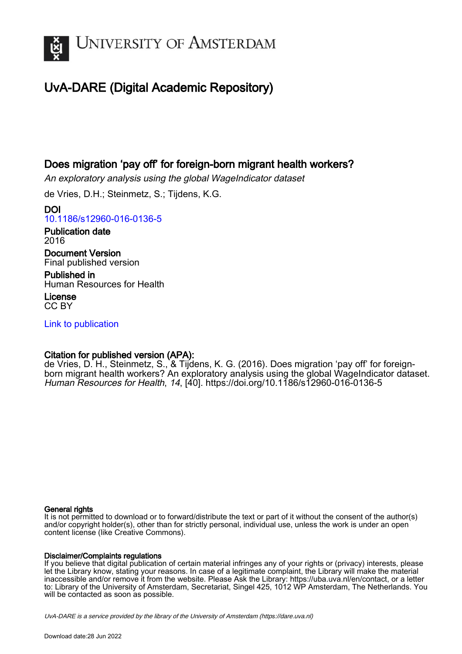

# UvA-DARE (Digital Academic Repository)

# Does migration 'pay off' for foreign-born migrant health workers?

An exploratory analysis using the global WageIndicator dataset

de Vries, D.H.; Steinmetz, S.; Tijdens, K.G.

DOI [10.1186/s12960-016-0136-5](https://doi.org/10.1186/s12960-016-0136-5)

Publication date 2016

Document Version Final published version

Published in Human Resources for Health

License CC BY

[Link to publication](https://dare.uva.nl/personal/pure/en/publications/does-migration-pay-off-for-foreignborn-migrant-health-workers(dfe2ed7b-bf18-4dee-8fbf-15ad731be6f9).html)

# Citation for published version (APA):

de Vries, D. H., Steinmetz, S., & Tijdens, K. G. (2016). Does migration 'pay off' for foreignborn migrant health workers? An exploratory analysis using the global WageIndicator dataset. Human Resources for Health, 14, [40]. <https://doi.org/10.1186/s12960-016-0136-5>

# General rights

It is not permitted to download or to forward/distribute the text or part of it without the consent of the author(s) and/or copyright holder(s), other than for strictly personal, individual use, unless the work is under an open content license (like Creative Commons).

# Disclaimer/Complaints regulations

If you believe that digital publication of certain material infringes any of your rights or (privacy) interests, please let the Library know, stating your reasons. In case of a legitimate complaint, the Library will make the material inaccessible and/or remove it from the website. Please Ask the Library: https://uba.uva.nl/en/contact, or a letter to: Library of the University of Amsterdam, Secretariat, Singel 425, 1012 WP Amsterdam, The Netherlands. You will be contacted as soon as possible.

UvA-DARE is a service provided by the library of the University of Amsterdam (http*s*://dare.uva.nl)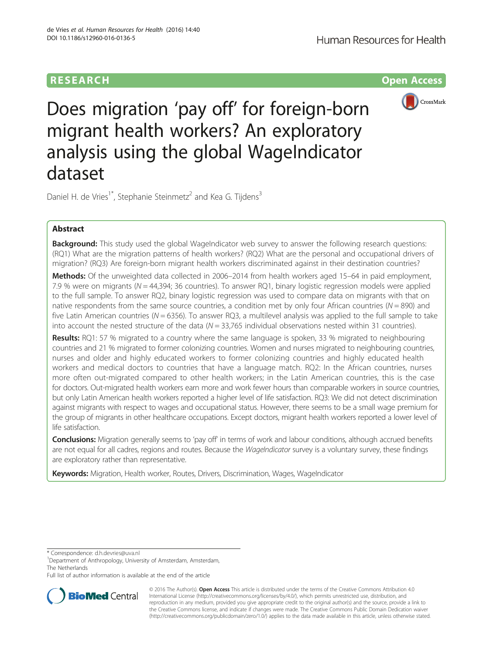# **RESEARCH RESEARCH** *CONSTRUCTER ACCESS*



Does migration 'pay off' for foreign-born migrant health workers? An exploratory analysis using the global WageIndicator dataset

Daniel H. de Vries<sup>1\*</sup>, Stephanie Steinmetz<sup>2</sup> and Kea G. Tijdens<sup>3</sup>

# Abstract

**Background:** This study used the global WageIndicator web survey to answer the following research questions: (RQ1) What are the migration patterns of health workers? (RQ2) What are the personal and occupational drivers of migration? (RQ3) Are foreign-born migrant health workers discriminated against in their destination countries?

Methods: Of the unweighted data collected in 2006–2014 from health workers aged 15–64 in paid employment, 7.9 % were on migrants ( $N = 44,394$ ; 36 countries). To answer RQ1, binary logistic regression models were applied to the full sample. To answer RQ2, binary logistic regression was used to compare data on migrants with that on native respondents from the same source countries, a condition met by only four African countries ( $N = 890$ ) and five Latin American countries ( $N = 6356$ ). To answer RQ3, a multilevel analysis was applied to the full sample to take into account the nested structure of the data  $(N = 33,765)$  individual observations nested within 31 countries).

Results: RQ1: 57 % migrated to a country where the same language is spoken, 33 % migrated to neighbouring countries and 21 % migrated to former colonizing countries. Women and nurses migrated to neighbouring countries, nurses and older and highly educated workers to former colonizing countries and highly educated health workers and medical doctors to countries that have a language match. RQ2: In the African countries, nurses more often out-migrated compared to other health workers; in the Latin American countries, this is the case for doctors. Out-migrated health workers earn more and work fewer hours than comparable workers in source countries, but only Latin American health workers reported a higher level of life satisfaction. RQ3: We did not detect discrimination against migrants with respect to wages and occupational status. However, there seems to be a small wage premium for the group of migrants in other healthcare occupations. Except doctors, migrant health workers reported a lower level of life satisfaction.

**Conclusions:** Migration generally seems to 'pay off' in terms of work and labour conditions, although accrued benefits are not equal for all cadres, regions and routes. Because the WageIndicator survey is a voluntary survey, these findings are exploratory rather than representative.

Keywords: Migration, Health worker, Routes, Drivers, Discrimination, Wages, WageIndicator

\* Correspondence: [d.h.devries@uva.nl](mailto:d.h.devries@uva.nl) <sup>1</sup>

Full list of author information is available at the end of the article



© 2016 The Author(s). Open Access This article is distributed under the terms of the Creative Commons Attribution 4.0 International License [\(http://creativecommons.org/licenses/by/4.0/](http://creativecommons.org/licenses/by/4.0/)), which permits unrestricted use, distribution, and reproduction in any medium, provided you give appropriate credit to the original author(s) and the source, provide a link to the Creative Commons license, and indicate if changes were made. The Creative Commons Public Domain Dedication waiver [\(http://creativecommons.org/publicdomain/zero/1.0/](http://creativecommons.org/publicdomain/zero/1.0/)) applies to the data made available in this article, unless otherwise stated.

<sup>&</sup>lt;sup>1</sup>Department of Anthropology, University of Amsterdam, Amsterdam, The Netherlands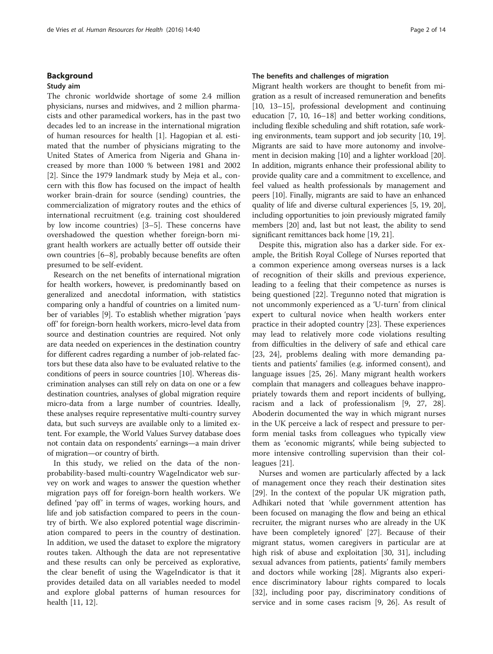### Background

### Study aim

The chronic worldwide shortage of some 2.4 million physicians, nurses and midwives, and 2 million pharmacists and other paramedical workers, has in the past two decades led to an increase in the international migration of human resources for health [\[1](#page-14-0)]. Hagopian et al. estimated that the number of physicians migrating to the United States of America from Nigeria and Ghana increased by more than 1000 % between 1981 and 2002 [[2\]](#page-14-0). Since the 1979 landmark study by Meja et al., concern with this flow has focused on the impact of health worker brain-drain for source (sending) countries, the commercialization of migratory routes and the ethics of international recruitment (e.g. training cost shouldered by low income countries) [[3](#page-14-0)–[5\]](#page-14-0). These concerns have overshadowed the question whether foreign-born migrant health workers are actually better off outside their own countries [\[6](#page-14-0)–[8\]](#page-14-0), probably because benefits are often presumed to be self-evident.

Research on the net benefits of international migration for health workers, however, is predominantly based on generalized and anecdotal information, with statistics comparing only a handful of countries on a limited number of variables [\[9\]](#page-14-0). To establish whether migration 'pays off' for foreign-born health workers, micro-level data from source and destination countries are required. Not only are data needed on experiences in the destination country for different cadres regarding a number of job-related factors but these data also have to be evaluated relative to the conditions of peers in source countries [\[10](#page-14-0)]. Whereas discrimination analyses can still rely on data on one or a few destination countries, analyses of global migration require micro-data from a large number of countries. Ideally, these analyses require representative multi-country survey data, but such surveys are available only to a limited extent. For example, the World Values Survey database does not contain data on respondents' earnings—a main driver of migration—or country of birth.

In this study, we relied on the data of the nonprobability-based multi-country WageIndicator web survey on work and wages to answer the question whether migration pays off for foreign-born health workers. We defined 'pay off' in terms of wages, working hours, and life and job satisfaction compared to peers in the country of birth. We also explored potential wage discrimination compared to peers in the country of destination. In addition, we used the dataset to explore the migratory routes taken. Although the data are not representative and these results can only be perceived as explorative, the clear benefit of using the WageIndicator is that it provides detailed data on all variables needed to model and explore global patterns of human resources for health [[11, 12\]](#page-14-0).

# The benefits and challenges of migration

Migrant health workers are thought to benefit from migration as a result of increased remuneration and benefits [[10](#page-14-0), [13](#page-14-0)–[15\]](#page-14-0), professional development and continuing education [\[7](#page-14-0), [10](#page-14-0), [16](#page-14-0)–[18](#page-14-0)] and better working conditions, including flexible scheduling and shift rotation, safe working environments, team support and job security [[10](#page-14-0), [19](#page-14-0)]. Migrants are said to have more autonomy and involvement in decision making [[10\]](#page-14-0) and a lighter workload [[20](#page-14-0)]. In addition, migrants enhance their professional ability to provide quality care and a commitment to excellence, and feel valued as health professionals by management and peers [\[10\]](#page-14-0). Finally, migrants are said to have an enhanced quality of life and diverse cultural experiences [\[5](#page-14-0), [19](#page-14-0), [20](#page-14-0)], including opportunities to join previously migrated family members [\[20\]](#page-14-0) and, last but not least, the ability to send significant remittances back home [[19, 21\]](#page-14-0).

Despite this, migration also has a darker side. For example, the British Royal College of Nurses reported that a common experience among overseas nurses is a lack of recognition of their skills and previous experience, leading to a feeling that their competence as nurses is being questioned [\[22\]](#page-14-0). Tregunno noted that migration is not uncommonly experienced as a 'U-turn' from clinical expert to cultural novice when health workers enter practice in their adopted country [[23\]](#page-14-0). These experiences may lead to relatively more code violations resulting from difficulties in the delivery of safe and ethical care [[23, 24](#page-14-0)], problems dealing with more demanding patients and patients' families (e.g. informed consent), and language issues [\[25](#page-14-0), [26\]](#page-14-0). Many migrant health workers complain that managers and colleagues behave inappropriately towards them and report incidents of bullying, racism and a lack of professionalism [[9, 27](#page-14-0), [28](#page-14-0)]. Aboderin documented the way in which migrant nurses in the UK perceive a lack of respect and pressure to perform menial tasks from colleagues who typically view them as 'economic migrants', while being subjected to more intensive controlling supervision than their colleagues [\[21](#page-14-0)].

Nurses and women are particularly affected by a lack of management once they reach their destination sites [[29\]](#page-14-0). In the context of the popular UK migration path, Adhikari noted that 'while government attention has been focused on managing the flow and being an ethical recruiter, the migrant nurses who are already in the UK have been completely ignored' [\[27](#page-14-0)]. Because of their migrant status, women caregivers in particular are at high risk of abuse and exploitation [[30, 31](#page-14-0)], including sexual advances from patients, patients' family members and doctors while working [[28](#page-14-0)]. Migrants also experience discriminatory labour rights compared to locals [[32\]](#page-14-0), including poor pay, discriminatory conditions of service and in some cases racism [\[9](#page-14-0), [26\]](#page-14-0). As result of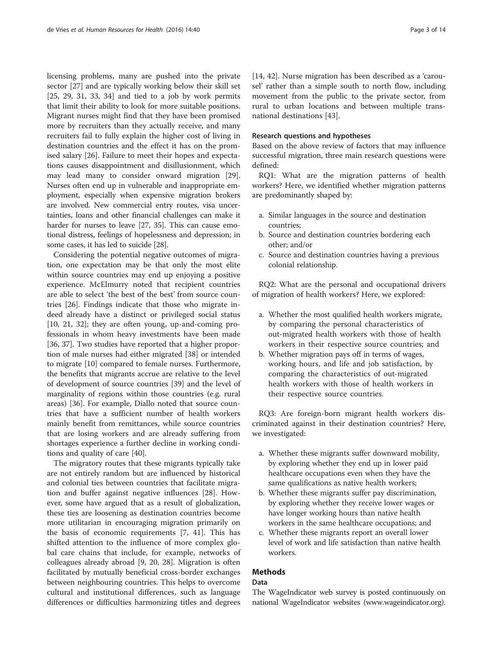licensing problems, many are pushed into the private sector [[27](#page-14-0)] and are typically working below their skill set [[25, 29](#page-14-0), [31](#page-14-0), [33, 34](#page-14-0)] and tied to a job by work permits that limit their ability to look for more suitable positions. Migrant nurses might find that they have been promised more by recruiters than they actually receive, and many recruiters fail to fully explain the higher cost of living in destination countries and the effect it has on the promised salary [\[26\]](#page-14-0). Failure to meet their hopes and expectations causes disappointment and disillusionment, which may lead many to consider onward migration [\[29](#page-14-0)]. Nurses often end up in vulnerable and inappropriate employment, especially when expensive migration brokers are involved. New commercial entry routes, visa uncertainties, loans and other financial challenges can make it harder for nurses to leave [\[27, 35](#page-14-0)]. This can cause emotional distress, feelings of hopelessness and depression; in some cases, it has led to suicide [[28](#page-14-0)].

Considering the potential negative outcomes of migration, one expectation may be that only the most elite within source countries may end up enjoying a positive experience. McElmurry noted that recipient countries are able to select 'the best of the best' from source countries [[26](#page-14-0)]. Findings indicate that those who migrate indeed already have a distinct or privileged social status [[10, 21, 32\]](#page-14-0); they are often young, up-and-coming professionals in whom heavy investments have been made [[36, 37](#page-14-0)]. Two studies have reported that a higher proportion of male nurses had either migrated [[38\]](#page-14-0) or intended to migrate [[10\]](#page-14-0) compared to female nurses. Furthermore, the benefits that migrants accrue are relative to the level of development of source countries [[39\]](#page-14-0) and the level of marginality of regions within those countries (e.g. rural areas) [\[36\]](#page-14-0). For example, Diallo noted that source countries that have a sufficient number of health workers mainly benefit from remittances, while source countries that are losing workers and are already suffering from shortages experience a further decline in working conditions and quality of care [\[40\]](#page-14-0).

The migratory routes that these migrants typically take are not entirely random but are influenced by historical and colonial ties between countries that facilitate migration and buffer against negative influences [\[28](#page-14-0)]. However, some have argued that as a result of globalization, these ties are loosening as destination countries become more utilitarian in encouraging migration primarily on the basis of economic requirements [[7, 41\]](#page-14-0). This has shifted attention to the influence of more complex global care chains that include, for example, networks of colleagues already abroad [[9, 20](#page-14-0), [28](#page-14-0)]. Migration is often facilitated by mutually beneficial cross-border exchanges between neighbouring countries. This helps to overcome cultural and institutional differences, such as language differences or difficulties harmonizing titles and degrees

[[14, 42\]](#page-14-0). Nurse migration has been described as a 'carousel' rather than a simple south to north flow, including movement from the public to the private sector, from rural to urban locations and between multiple transnational destinations [[43\]](#page-14-0).

#### Research questions and hypotheses

Based on the above review of factors that may influence successful migration, three main research questions were defined:

RQ1: What are the migration patterns of health workers? Here, we identified whether migration patterns are predominantly shaped by:

- a. Similar languages in the source and destination countries;
- b. Source and destination countries bordering each other; and/or
- c. Source and destination countries having a previous colonial relationship.

RQ2: What are the personal and occupational drivers of migration of health workers? Here, we explored:

- a. Whether the most qualified health workers migrate, by comparing the personal characteristics of out-migrated health workers with those of health workers in their respective source countries; and
- b. Whether migration pays off in terms of wages, working hours, and life and job satisfaction, by comparing the characteristics of out-migrated health workers with those of health workers in their respective source countries.

RQ3: Are foreign-born migrant health workers discriminated against in their destination countries? Here, we investigated:

- a. Whether these migrants suffer downward mobility, by exploring whether they end up in lower paid healthcare occupations even when they have the same qualifications as native health workers;
- b. Whether these migrants suffer pay discrimination, by exploring whether they receive lower wages or have longer working hours than native health workers in the same healthcare occupations; and
- c. Whether these migrants report an overall lower level of work and life satisfaction than native health workers.

# Methods

# Data

The WageIndicator web survey is posted continuously on national WageIndicator websites [\(www.wageindicator.org](http://www.wageindicator.org)).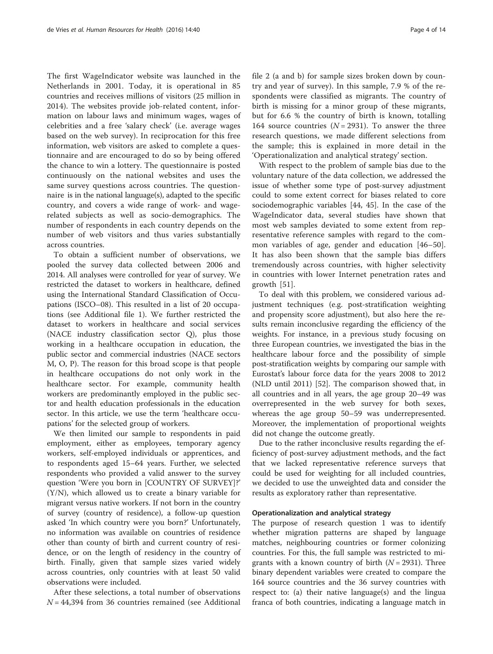<span id="page-4-0"></span>The first WageIndicator website was launched in the Netherlands in 2001. Today, it is operational in 85 countries and receives millions of visitors (25 million in 2014). The websites provide job-related content, information on labour laws and minimum wages, wages of celebrities and a free 'salary check' (i.e. average wages based on the web survey). In reciprocation for this free information, web visitors are asked to complete a questionnaire and are encouraged to do so by being offered the chance to win a lottery. The questionnaire is posted continuously on the national websites and uses the same survey questions across countries. The questionnaire is in the national language(s), adapted to the specific country, and covers a wide range of work- and wagerelated subjects as well as socio-demographics. The number of respondents in each country depends on the number of web visitors and thus varies substantially across countries.

To obtain a sufficient number of observations, we pooled the survey data collected between 2006 and 2014. All analyses were controlled for year of survey. We restricted the dataset to workers in healthcare, defined using the International Standard Classification of Occupations (ISCO–08). This resulted in a list of 20 occupations (see Additional file [1](#page-13-0)). We further restricted the dataset to workers in healthcare and social services (NACE industry classification sector Q), plus those working in a healthcare occupation in education, the public sector and commercial industries (NACE sectors M, O, P). The reason for this broad scope is that people in healthcare occupations do not only work in the healthcare sector. For example, community health workers are predominantly employed in the public sector and health education professionals in the education sector. In this article, we use the term 'healthcare occupations' for the selected group of workers.

We then limited our sample to respondents in paid employment, either as employees, temporary agency workers, self-employed individuals or apprentices, and to respondents aged 15–64 years. Further, we selected respondents who provided a valid answer to the survey question 'Were you born in [COUNTRY OF SURVEY]?' (Y/N), which allowed us to create a binary variable for migrant versus native workers. If not born in the country of survey (country of residence), a follow-up question asked 'In which country were you born?' Unfortunately, no information was available on countries of residence other than county of birth and current country of residence, or on the length of residency in the country of birth. Finally, given that sample sizes varied widely across countries, only countries with at least 50 valid observations were included.

After these selections, a total number of observations  $N = 44,394$  from 36 countries remained (see Additional file [2](#page-13-0) (a and b) for sample sizes broken down by country and year of survey). In this sample, 7.9 % of the respondents were classified as migrants. The country of birth is missing for a minor group of these migrants, but for 6.6 % the country of birth is known, totalling 164 source countries ( $N = 2931$ ). To answer the three research questions, we made different selections from the sample; this is explained in more detail in the 'Operationalization and analytical strategy' section.

With respect to the problem of sample bias due to the voluntary nature of the data collection, we addressed the issue of whether some type of post-survey adjustment could to some extent correct for biases related to core sociodemographic variables [\[44, 45](#page-14-0)]. In the case of the WageIndicator data, several studies have shown that most web samples deviated to some extent from representative reference samples with regard to the common variables of age, gender and education [[46](#page-14-0)–[50](#page-14-0)]. It has also been shown that the sample bias differs tremendously across countries, with higher selectivity in countries with lower Internet penetration rates and growth [\[51](#page-14-0)].

To deal with this problem, we considered various adjustment techniques (e.g. post-stratification weighting and propensity score adjustment), but also here the results remain inconclusive regarding the efficiency of the weights. For instance, in a previous study focusing on three European countries, we investigated the bias in the healthcare labour force and the possibility of simple post-stratification weights by comparing our sample with Eurostat's labour force data for the years 2008 to 2012 (NLD until 2011) [\[52\]](#page-14-0). The comparison showed that, in all countries and in all years, the age group 20–49 was overrepresented in the web survey for both sexes, whereas the age group 50–59 was underrepresented. Moreover, the implementation of proportional weights did not change the outcome greatly.

Due to the rather inconclusive results regarding the efficiency of post-survey adjustment methods, and the fact that we lacked representative reference surveys that could be used for weighting for all included countries, we decided to use the unweighted data and consider the results as exploratory rather than representative.

#### Operationalization and analytical strategy

The purpose of research question 1 was to identify whether migration patterns are shaped by language matches, neighbouring countries or former colonizing countries. For this, the full sample was restricted to migrants with a known country of birth  $(N = 2931)$ . Three binary dependent variables were created to compare the 164 source countries and the 36 survey countries with respect to: (a) their native language(s) and the lingua franca of both countries, indicating a language match in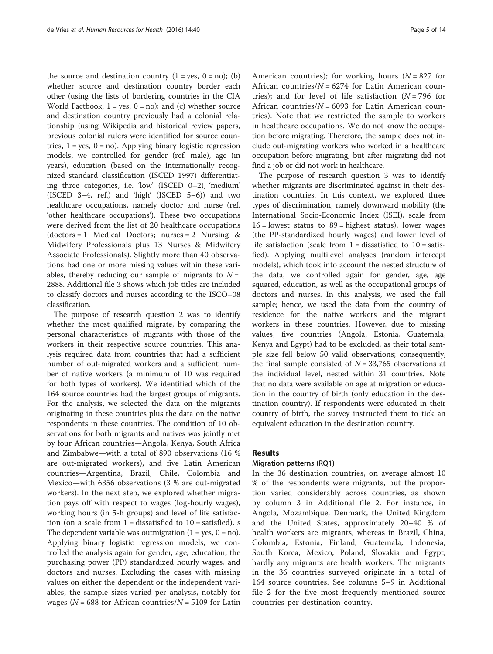the source and destination country  $(1 = yes, 0 = no)$ ; (b) whether source and destination country border each other (using the lists of bordering countries in the CIA World Factbook;  $1 = yes$ ,  $0 = no$ ); and (c) whether source and destination country previously had a colonial relationship (using Wikipedia and historical review papers, previous colonial rulers were identified for source countries,  $1 = yes$ ,  $0 = no$ ). Applying binary logistic regression models, we controlled for gender (ref. male), age (in years), education (based on the internationally recognized standard classification (ISCED 1997) differentiating three categories, i.e. 'low' (ISCED 0–2), 'medium' (ISCED 3–4, ref.) and 'high' (ISCED 5–6)) and two healthcare occupations, namely doctor and nurse (ref. 'other healthcare occupations'). These two occupations were derived from the list of 20 healthcare occupations  $(dotors = 1$  Medical Doctors; nurses = 2 Nursing & Midwifery Professionals plus 13 Nurses & Midwifery Associate Professionals). Slightly more than 40 observations had one or more missing values within these variables, thereby reducing our sample of migrants to  $N =$ 2888. Additional file [3](#page-13-0) shows which job titles are included to classify doctors and nurses according to the ISCO–08 classification.

The purpose of research question 2 was to identify whether the most qualified migrate, by comparing the personal characteristics of migrants with those of the workers in their respective source countries. This analysis required data from countries that had a sufficient number of out-migrated workers and a sufficient number of native workers (a minimum of 10 was required for both types of workers). We identified which of the 164 source countries had the largest groups of migrants. For the analysis, we selected the data on the migrants originating in these countries plus the data on the native respondents in these countries. The condition of 10 observations for both migrants and natives was jointly met by four African countries—Angola, Kenya, South Africa and Zimbabwe—with a total of 890 observations (16 % are out-migrated workers), and five Latin American countries—Argentina, Brazil, Chile, Colombia and Mexico—with 6356 observations (3 % are out-migrated workers). In the next step, we explored whether migration pays off with respect to wages (log-hourly wages), working hours (in 5-h groups) and level of life satisfaction (on a scale from  $1 =$  dissatisfied to  $10 =$  satisfied). s The dependent variable was outmigration  $(1 = yes, 0 = no)$ . Applying binary logistic regression models, we controlled the analysis again for gender, age, education, the purchasing power (PP) standardized hourly wages, and doctors and nurses. Excluding the cases with missing values on either the dependent or the independent variables, the sample sizes varied per analysis, notably for wages ( $N = 688$  for African countries/ $N = 5109$  for Latin American countries); for working hours  $(N = 827$  for African countries/ $N = 6274$  for Latin American countries); and for level of life satisfaction  $(N = 796$  for African countries/ $N = 6093$  for Latin American countries). Note that we restricted the sample to workers in healthcare occupations. We do not know the occupation before migrating. Therefore, the sample does not include out-migrating workers who worked in a healthcare occupation before migrating, but after migrating did not find a job or did not work in healthcare.

The purpose of research question 3 was to identify whether migrants are discriminated against in their destination countries. In this context, we explored three types of discrimination, namely downward mobility (the International Socio-Economic Index (ISEI), scale from  $16$  = lowest status to  $89$  = highest status), lower wages (the PP-standardized hourly wages) and lower level of life satisfaction (scale from  $1 =$  dissatisfied to  $10 =$  satisfied). Applying multilevel analyses (random intercept models), which took into account the nested structure of the data, we controlled again for gender, age, age squared, education, as well as the occupational groups of doctors and nurses. In this analysis, we used the full sample; hence, we used the data from the country of residence for the native workers and the migrant workers in these countries. However, due to missing values, five countries (Angola, Estonia, Guatemala, Kenya and Egypt) had to be excluded, as their total sample size fell below 50 valid observations; consequently, the final sample consisted of  $N = 33,765$  observations at the individual level, nested within 31 countries. Note that no data were available on age at migration or education in the country of birth (only education in the destination country). If respondents were educated in their country of birth, the survey instructed them to tick an equivalent education in the destination country.

## Results

## Migration patterns (RQ1)

In the 36 destination countries, on average almost 10 % of the respondents were migrants, but the proportion varied considerably across countries, as shown by column 3 in Additional file [2.](#page-13-0) For instance, in Angola, Mozambique, Denmark, the United Kingdom and the United States, approximately 20–40 % of health workers are migrants, whereas in Brazil, China, Colombia, Estonia, Finland, Guatemala, Indonesia, South Korea, Mexico, Poland, Slovakia and Egypt, hardly any migrants are health workers. The migrants in the 36 countries surveyed originate in a total of 164 source countries. See columns 5–9 in Additional file [2](#page-13-0) for the five most frequently mentioned source countries per destination country.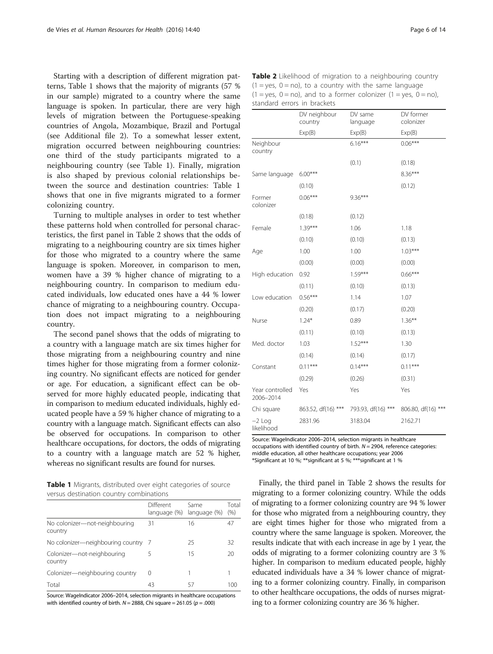Starting with a description of different migration patterns, Table 1 shows that the majority of migrants (57 % in our sample) migrated to a country where the same language is spoken. In particular, there are very high levels of migration between the Portuguese-speaking countries of Angola, Mozambique, Brazil and Portugal (see Additional file [2\)](#page-13-0). To a somewhat lesser extent, migration occurred between neighbouring countries: one third of the study participants migrated to a neighbouring country (see Table 1). Finally, migration is also shaped by previous colonial relationships between the source and destination countries: Table 1 shows that one in five migrants migrated to a former colonizing country.

Turning to multiple analyses in order to test whether these patterns hold when controlled for personal characteristics, the first panel in Table 2 shows that the odds of migrating to a neighbouring country are six times higher for those who migrated to a country where the same language is spoken. Moreover, in comparison to men, women have a 39 % higher chance of migrating to a neighbouring country. In comparison to medium educated individuals, low educated ones have a 44 % lower chance of migrating to a neighbouring country. Occupation does not impact migrating to a neighbouring country.

The second panel shows that the odds of migrating to a country with a language match are six times higher for those migrating from a neighbouring country and nine times higher for those migrating from a former colonizing country. No significant effects are noticed for gender or age. For education, a significant effect can be observed for more highly educated people, indicating that in comparison to medium educated individuals, highly educated people have a 59 % higher chance of migrating to a country with a language match. Significant effects can also be observed for occupations. In comparison to other healthcare occupations, for doctors, the odds of migrating to a country with a language match are 52 % higher, whereas no significant results are found for nurses.

Table 1 Migrants, distributed over eight categories of source versus destination country combinations

|                                          | Different<br>language (%) | Same<br>language (%) | Total<br>(% ) |
|------------------------------------------|---------------------------|----------------------|---------------|
| No colonizer-not-neighbouring<br>country | 31                        | 16                   | 47            |
| No colonizer-neighbouring country        |                           | 25                   | 32            |
| Colonizer-not-neighbouring<br>country    | 5                         | 15                   | 20            |
| Colonizer-neighbouring country           | 0                         |                      |               |
| Total                                    | 43                        | 57                   | 100           |

Source: WageIndicator 2006–2014, selection migrants in healthcare occupations with identified country of birth.  $N = 2888$ , Chi square = 261.05 ( $p = .000$ )

Table 2 Likelihood of migration to a neighbouring country  $(1 = yes, 0 = no)$ , to a country with the same language  $(1 = yes, 0 = no)$ , and to a former colonizer  $(1 = yes, 0 = no)$ , standard errors in brackets

|                              | DV neighbour<br>country | DV same<br>language | DV former<br>colonizer |
|------------------------------|-------------------------|---------------------|------------------------|
|                              | Exp(B)                  | Exp(B)              | Exp(B)                 |
| Neighbour<br>country         |                         | $6.16***$           | $0.06***$              |
|                              |                         | (0.1)               | (0.18)                 |
| Same language                | $6.00***$               |                     | $8.36***$              |
|                              | (0.10)                  |                     | (0.12)                 |
| Former<br>colonizer          | $0.06***$               | $9.36***$           |                        |
|                              | (0.18)                  | (0.12)              |                        |
| Female                       | $1.39***$               | 1.06                | 1.18                   |
|                              | (0.10)                  | (0.10)              | (0.13)                 |
| Age                          | 1.00                    | 1.00                | $1.03***$              |
|                              | (0.00)                  | (0.00)              | (0.00)                 |
| High education               | 0.92                    | $1.59***$           | $0.66***$              |
|                              | (0.11)                  | (0.10)              | (0.13)                 |
| Low education                | $0.56***$               | 1.14                | 1.07                   |
|                              | (0.20)                  | (0.17)              | (0.20)                 |
| Nurse                        | $1.24*$                 | 0.89                | $1.36***$              |
|                              | (0.11)                  | (0.10)              | (0.13)                 |
| Med. doctor                  | 1.03                    | $1.52***$           | 1.30                   |
|                              | (0.14)                  | (0.14)              | (0.17)                 |
| Constant                     | $0.11***$               | $0.14***$           | $0.11***$              |
|                              | (0.29)                  | (0.26)              | (0.31)                 |
| Year controlled<br>2006-2014 | Yes                     | Yes                 | Yes                    |
| Chi square                   | 863.52, df(16) ***      | 793.93, df(16) ***  | 806.80, df(16) ***     |
| $-2$ Log<br>likelihood       | 2831.96                 | 3183.04             | 2162.71                |

Source: WageIndicator 2006-2014, selection migrants in healthcare occupations with identified country of birth.  $N = 2904$ , reference categories: middle education, all other healthcare occupations; year 2006 \*Significant at 10 %; \*\*significant at 5 %; \*\*\*significant at 1 %

Finally, the third panel in Table 2 shows the results for migrating to a former colonizing country. While the odds of migrating to a former colonizing country are 94 % lower for those who migrated from a neighbouring country, they are eight times higher for those who migrated from a country where the same language is spoken. Moreover, the results indicate that with each increase in age by 1 year, the odds of migrating to a former colonizing country are 3 % higher. In comparison to medium educated people, highly educated individuals have a 34 % lower chance of migrating to a former colonizing country. Finally, in comparison to other healthcare occupations, the odds of nurses migrating to a former colonizing country are 36 % higher.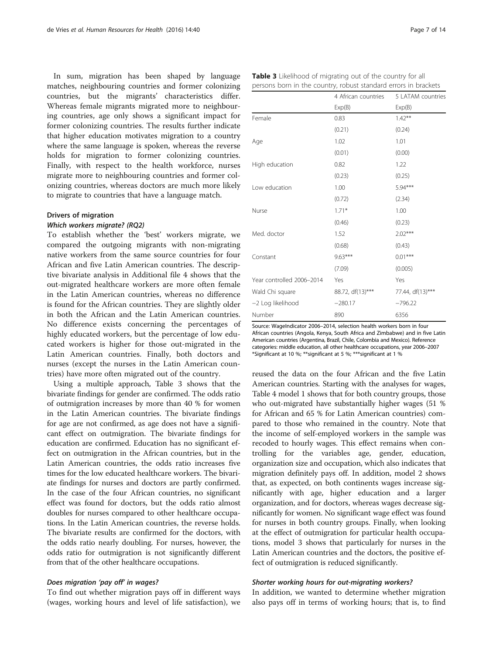In sum, migration has been shaped by language matches, neighbouring countries and former colonizing countries, but the migrants' characteristics differ. Whereas female migrants migrated more to neighbouring countries, age only shows a significant impact for former colonizing countries. The results further indicate that higher education motivates migration to a country where the same language is spoken, whereas the reverse holds for migration to former colonizing countries. Finally, with respect to the health workforce, nurses migrate more to neighbouring countries and former colonizing countries, whereas doctors are much more likely to migrate to countries that have a language match.

# Drivers of migration

To establish whether the 'best' workers migrate, we compared the outgoing migrants with non-migrating native workers from the same source countries for four African and five Latin American countries. The descriptive bivariate analysis in Additional file [4](#page-13-0) shows that the out-migrated healthcare workers are more often female in the Latin American countries, whereas no difference is found for the African countries. They are slightly older in both the African and the Latin American countries. No difference exists concerning the percentages of highly educated workers, but the percentage of low educated workers is higher for those out-migrated in the Latin American countries. Finally, both doctors and nurses (except the nurses in the Latin American countries) have more often migrated out of the country.

Using a multiple approach, Table 3 shows that the bivariate findings for gender are confirmed. The odds ratio of outmigration increases by more than 40 % for women in the Latin American countries. The bivariate findings for age are not confirmed, as age does not have a significant effect on outmigration. The bivariate findings for education are confirmed. Education has no significant effect on outmigration in the African countries, but in the Latin American countries, the odds ratio increases five times for the low educated healthcare workers. The bivariate findings for nurses and doctors are partly confirmed. In the case of the four African countries, no significant effect was found for doctors, but the odds ratio almost doubles for nurses compared to other healthcare occupations. In the Latin American countries, the reverse holds. The bivariate results are confirmed for the doctors, with the odds ratio nearly doubling. For nurses, however, the odds ratio for outmigration is not significantly different from that of the other healthcare occupations.

# Does migration 'pay off' in wages?

To find out whether migration pays off in different ways (wages, working hours and level of life satisfaction), we

|                           | 4 African countries | 5 LATAM countries |
|---------------------------|---------------------|-------------------|
|                           | Exp(B)              | Exp(B)            |
| Female                    | 0.83                | $1.42***$         |
|                           | (0.21)              | (0.24)            |
| Age                       | 1.02                | 1.01              |
|                           | (0.01)              | (0.00)            |
| High education            | 0.82                | 1.22              |
|                           | (0.23)              | (0.25)            |
| Low education             | 1.00                | $5.94***$         |
|                           | (0.72)              | (2.34)            |
| Nurse                     | $1.71*$             | 1.00              |
|                           | (0.46)              | (0.23)            |
| Med. doctor               | 1.52                | $2.02***$         |
|                           | (0.68)              | (0.43)            |
| Constant                  | $9.63***$           | $0.01***$         |
|                           | (7.09)              | (0.005)           |
| Year controlled 2006-2014 | Yes                 | Yes               |
| Wald Chi square           | 88.72, df(13)***    | 77.44, df(13)***  |
| -2 Log likelihood         | $-280.17$           | $-796.22$         |
| Number                    | 890                 | 6356              |

Source: WageIndicator 2006–2014, selection health workers born in four African countries (Angola, Kenya, South Africa and Zimbabwe) and in five Latin American countries (Argentina, Brazil, Chile, Colombia and Mexico). Reference categories: middle education, all other healthcare occupations, year 2006–2007 \*Significant at 10 %; \*\*significant at 5 %; \*\*\*significant at 1 %

reused the data on the four African and the five Latin American countries. Starting with the analyses for wages, Table [4](#page-8-0) model 1 shows that for both country groups, those who out-migrated have substantially higher wages (51 % for African and 65 % for Latin American countries) compared to those who remained in the country. Note that the income of self-employed workers in the sample was recoded to hourly wages. This effect remains when controlling for the variables age, gender, education, organization size and occupation, which also indicates that migration definitely pays off. In addition, model 2 shows that, as expected, on both continents wages increase significantly with age, higher education and a larger organization, and for doctors, whereas wages decrease significantly for women. No significant wage effect was found for nurses in both country groups. Finally, when looking at the effect of outmigration for particular health occupations, model 3 shows that particularly for nurses in the Latin American countries and the doctors, the positive effect of outmigration is reduced significantly.

In addition, we wanted to determine whether migration also pays off in terms of working hours; that is, to find

|  | Table 3 Likelihood of migrating out of the country for all      |  |  |
|--|-----------------------------------------------------------------|--|--|
|  | persons born in the country, robust standard errors in brackets |  |  |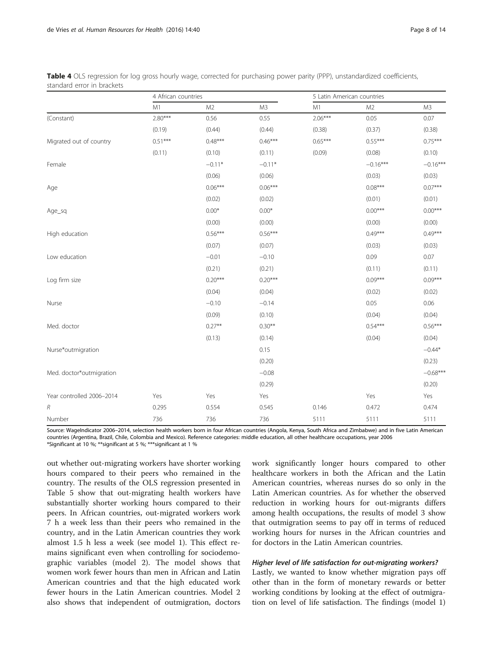|                           |           | 4 African countries |                |           | 5 Latin American countries |            |  |
|---------------------------|-----------|---------------------|----------------|-----------|----------------------------|------------|--|
|                           | M1        | M <sub>2</sub>      | M <sub>3</sub> | M1        | M <sub>2</sub>             | M3         |  |
| (Constant)                | $2.80***$ | 0.56                | 0.55           | $2.06***$ | 0.05                       | 0.07       |  |
|                           | (0.19)    | (0.44)              | (0.44)         | (0.38)    | (0.37)                     | (0.38)     |  |
| Migrated out of country   | $0.51***$ | $0.48***$           | $0.46***$      | $0.65***$ | $0.55***$                  | $0.75***$  |  |
|                           | (0.11)    | (0.10)              | (0.11)         | (0.09)    | (0.08)                     | (0.10)     |  |
| Female                    |           | $-0.11*$            | $-0.11*$       |           | $-0.16***$                 | $-0.16***$ |  |
|                           |           | (0.06)              | (0.06)         |           | (0.03)                     | (0.03)     |  |
| Age                       |           | $0.06***$           | $0.06***$      |           | $0.08***$                  | $0.07***$  |  |
|                           |           | (0.02)              | (0.02)         |           | (0.01)                     | (0.01)     |  |
| Age_sq                    |           | $0.00*$             | $0.00*$        |           | $0.00***$                  | $0.00***$  |  |
|                           |           | (0.00)              | (0.00)         |           | (0.00)                     | (0.00)     |  |
| High education            |           | $0.56***$           | $0.56***$      |           | $0.49***$                  | $0.49***$  |  |
|                           |           | (0.07)              | (0.07)         |           | (0.03)                     | (0.03)     |  |
| Low education             |           | $-0.01$             | $-0.10$        |           | 0.09                       | 0.07       |  |
|                           |           | (0.21)              | (0.21)         |           | (0.11)                     | (0.11)     |  |
| Log firm size             |           | $0.20***$           | $0.20***$      |           | $0.09***$                  | $0.09***$  |  |
|                           |           | (0.04)              | (0.04)         |           | (0.02)                     | (0.02)     |  |
| Nurse                     |           | $-0.10$             | $-0.14$        |           | 0.05                       | 0.06       |  |
|                           |           | (0.09)              | (0.10)         |           | (0.04)                     | (0.04)     |  |
| Med. doctor               |           | $0.27***$           | $0.30**$       |           | $0.54***$                  | $0.56***$  |  |
|                           |           | (0.13)              | (0.14)         |           | (0.04)                     | (0.04)     |  |
| Nurse*outmigration        |           |                     | 0.15           |           |                            | $-0.44*$   |  |
|                           |           |                     | (0.20)         |           |                            | (0.23)     |  |
| Med. doctor*outmigration  |           |                     | $-0.08$        |           |                            | $-0.68***$ |  |
|                           |           |                     | (0.29)         |           |                            | (0.20)     |  |
| Year controlled 2006-2014 | Yes       | Yes                 | Yes            |           | Yes                        | Yes        |  |
| R                         | 0.295     | 0.554               | 0.545          | 0.146     | 0.472                      | 0.474      |  |
| Number                    | 736       | 736                 | 736            | 5111      | 5111                       | 5111       |  |

<span id="page-8-0"></span>Table 4 OLS regression for log gross hourly wage, corrected for purchasing power parity (PPP), unstandardized coefficients, standard error in brackets

Source: WageIndicator 2006–2014, selection health workers born in four African countries (Angola, Kenya, South Africa and Zimbabwe) and in five Latin American countries (Argentina, Brazil, Chile, Colombia and Mexico). Reference categories: middle education, all other healthcare occupations, year 2006 \*Significant at 10 %; \*\*significant at 5 %; \*\*\*significant at 1 %

out whether out-migrating workers have shorter working hours compared to their peers who remained in the country. The results of the OLS regression presented in Table [5](#page-9-0) show that out-migrating health workers have substantially shorter working hours compared to their peers. In African countries, out-migrated workers work 7 h a week less than their peers who remained in the country, and in the Latin American countries they work almost 1.5 h less a week (see model 1). This effect remains significant even when controlling for sociodemographic variables (model 2). The model shows that women work fewer hours than men in African and Latin American countries and that the high educated work fewer hours in the Latin American countries. Model 2 also shows that independent of outmigration, doctors

work significantly longer hours compared to other healthcare workers in both the African and the Latin American countries, whereas nurses do so only in the Latin American countries. As for whether the observed reduction in working hours for out-migrants differs among health occupations, the results of model 3 show that outmigration seems to pay off in terms of reduced working hours for nurses in the African countries and for doctors in the Latin American countries.

Lastly, we wanted to know whether migration pays off other than in the form of monetary rewards or better working conditions by looking at the effect of outmigration on level of life satisfaction. The findings (model 1)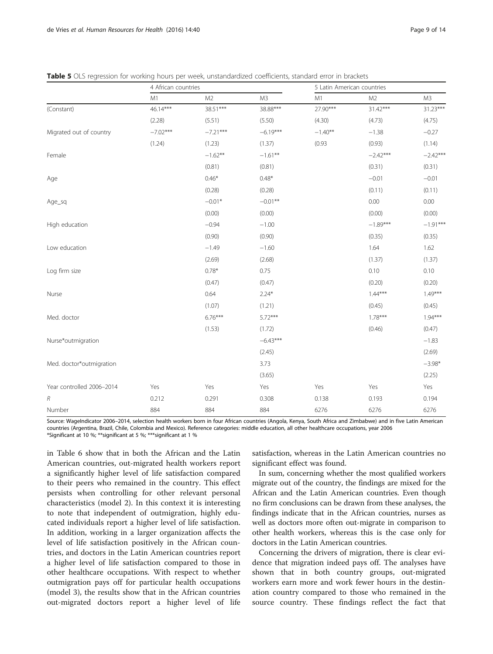|                           |            | 4 African countries |                |           | 5 Latin American countries |                |  |  |
|---------------------------|------------|---------------------|----------------|-----------|----------------------------|----------------|--|--|
|                           | M1         | M <sub>2</sub>      | M <sub>3</sub> | M1        | M <sub>2</sub>             | M <sub>3</sub> |  |  |
| (Constant)                | 46.14***   | 38.51***            | 38.88***       | 27.90***  | 31.42***                   | 31.23***       |  |  |
|                           | (2.28)     | (5.51)              | (5.50)         | (4.30)    | (4.73)                     | (4.75)         |  |  |
| Migrated out of country   | $-7.02***$ | $-7.21***$          | $-6.19***$     | $-1.40**$ | $-1.38$                    | $-0.27$        |  |  |
|                           | (1.24)     | (1.23)              | (1.37)         | (0.93)    | (0.93)                     | (1.14)         |  |  |
| Female                    |            | $-1.62**$           | $-1.61**$      |           | $-2.42***$                 | $-2.42***$     |  |  |
|                           |            | (0.81)              | (0.81)         |           | (0.31)                     | (0.31)         |  |  |
| Age                       |            | $0.46*$             | $0.48*$        |           | $-0.01$                    | $-0.01$        |  |  |
|                           |            | (0.28)              | (0.28)         |           | (0.11)                     | (0.11)         |  |  |
| Age_sq                    |            | $-0.01*$            | $-0.01**$      |           | 0.00                       | 0.00           |  |  |
|                           |            | (0.00)              | (0.00)         |           | (0.00)                     | (0.00)         |  |  |
| High education            |            | $-0.94$             | $-1.00$        |           | $-1.89***$                 | $-1.91***$     |  |  |
|                           |            | (0.90)              | (0.90)         |           | (0.35)                     | (0.35)         |  |  |
| Low education             |            | $-1.49$             | $-1.60$        |           | 1.64                       | 1.62           |  |  |
|                           |            | (2.69)              | (2.68)         |           | (1.37)                     | (1.37)         |  |  |
| Log firm size             |            | $0.78*$             | 0.75           |           | 0.10                       | 0.10           |  |  |
|                           |            | (0.47)              | (0.47)         |           | (0.20)                     | (0.20)         |  |  |
| Nurse                     |            | 0.64                | $2.24*$        |           | $1.44***$                  | $1.49***$      |  |  |
|                           |            | (1.07)              | (1.21)         |           | (0.45)                     | (0.45)         |  |  |
| Med. doctor               |            | $6.76***$           | $5.72***$      |           | $1.78***$                  | $1.94***$      |  |  |
|                           |            | (1.53)              | (1.72)         |           | (0.46)                     | (0.47)         |  |  |
| Nurse*outmigration        |            |                     | $-6.43***$     |           |                            | $-1.83$        |  |  |
|                           |            |                     | (2.45)         |           |                            | (2.69)         |  |  |
| Med. doctor*outmigration  |            |                     | 3.73           |           |                            | $-3.98*$       |  |  |
|                           |            |                     | (3.65)         |           |                            | (2.25)         |  |  |
| Year controlled 2006-2014 | Yes        | Yes                 | Yes            | Yes       | Yes                        | Yes            |  |  |
| R                         | 0.212      | 0.291               | 0.308          | 0.138     | 0.193                      | 0.194          |  |  |
| Number                    | 884        | 884                 | 884            | 6276      | 6276                       | 6276           |  |  |

<span id="page-9-0"></span>Table 5 OLS regression for working hours per week, unstandardized coefficients, standard error in brackets

Source: WageIndicator 2006–2014, selection health workers born in four African countries (Angola, Kenya, South Africa and Zimbabwe) and in five Latin American countries (Argentina, Brazil, Chile, Colombia and Mexico). Reference categories: middle education, all other healthcare occupations, year 2006 \*Significant at 10 %; \*\*significant at 5 %; \*\*\*significant at 1 %

in Table [6](#page-10-0) show that in both the African and the Latin American countries, out-migrated health workers report a significantly higher level of life satisfaction compared to their peers who remained in the country. This effect persists when controlling for other relevant personal characteristics (model 2). In this context it is interesting to note that independent of outmigration, highly educated individuals report a higher level of life satisfaction. In addition, working in a larger organization affects the level of life satisfaction positively in the African countries, and doctors in the Latin American countries report a higher level of life satisfaction compared to those in other healthcare occupations. With respect to whether outmigration pays off for particular health occupations (model 3), the results show that in the African countries out-migrated doctors report a higher level of life

satisfaction, whereas in the Latin American countries no significant effect was found.

In sum, concerning whether the most qualified workers migrate out of the country, the findings are mixed for the African and the Latin American countries. Even though no firm conclusions can be drawn from these analyses, the findings indicate that in the African countries, nurses as well as doctors more often out-migrate in comparison to other health workers, whereas this is the case only for doctors in the Latin American countries.

Concerning the drivers of migration, there is clear evidence that migration indeed pays off. The analyses have shown that in both country groups, out-migrated workers earn more and work fewer hours in the destination country compared to those who remained in the source country. These findings reflect the fact that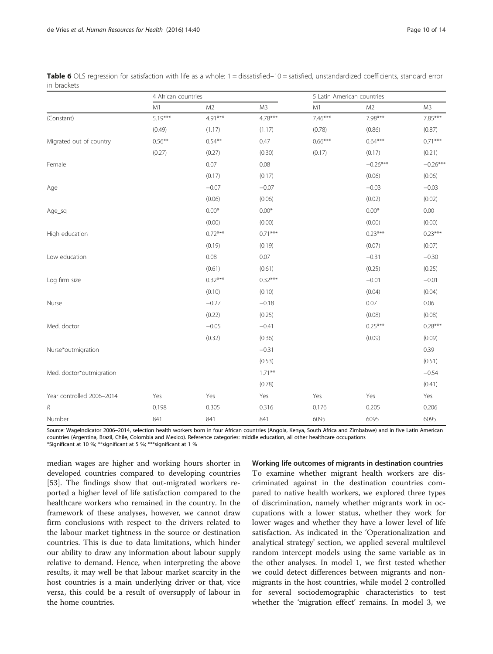|                           | 4 African countries |                |                | 5 Latin American countries |                |                |
|---------------------------|---------------------|----------------|----------------|----------------------------|----------------|----------------|
|                           | M1                  | M <sub>2</sub> | M <sub>3</sub> | M1                         | M <sub>2</sub> | M <sub>3</sub> |
| (Constant)                | $5.19***$           | $4.91***$      | $4.78***$      | $7.46***$                  | 7.98***        | 7.85***        |
|                           | (0.49)              | (1.17)         | (1.17)         | (0.78)                     | (0.86)         | (0.87)         |
| Migrated out of country   | $0.56***$           | $0.54***$      | 0.47           | $0.66***$                  | $0.64***$      | $0.71***$      |
|                           | (0.27)              | (0.27)         | (0.30)         | (0.17)                     | (0.17)         | (0.21)         |
| Female                    |                     | 0.07           | 0.08           |                            | $-0.26***$     | $-0.26***$     |
|                           |                     | (0.17)         | (0.17)         |                            | (0.06)         | (0.06)         |
| Age                       |                     | $-0.07$        | $-0.07$        |                            | $-0.03$        | $-0.03$        |
|                           |                     | (0.06)         | (0.06)         |                            | (0.02)         | (0.02)         |
| Age_sq                    |                     | $0.00*$        | $0.00*$        |                            | $0.00*$        | 0.00           |
|                           |                     | (0.00)         | (0.00)         |                            | (0.00)         | (0.00)         |
| High education            |                     | $0.72***$      | $0.71***$      |                            | $0.23***$      | $0.23***$      |
|                           |                     | (0.19)         | (0.19)         |                            | (0.07)         | (0.07)         |
| Low education             |                     | 0.08           | 0.07           |                            | $-0.31$        | $-0.30$        |
|                           |                     | (0.61)         | (0.61)         |                            | (0.25)         | (0.25)         |
| Log firm size             |                     | $0.32***$      | $0.32***$      |                            | $-0.01$        | $-0.01$        |
|                           |                     | (0.10)         | (0.10)         |                            | (0.04)         | (0.04)         |
| Nurse                     |                     | $-0.27$        | $-0.18$        |                            | 0.07           | 0.06           |
|                           |                     | (0.22)         | (0.25)         |                            | (0.08)         | (0.08)         |
| Med. doctor               |                     | $-0.05$        | $-0.41$        |                            | $0.25***$      | $0.28***$      |
|                           |                     | (0.32)         | (0.36)         |                            | (0.09)         | (0.09)         |
| Nurse*outmigration        |                     |                | $-0.31$        |                            |                | 0.39           |
|                           |                     |                | (0.53)         |                            |                | (0.51)         |
| Med. doctor*outmigration  |                     |                | $1.71***$      |                            |                | $-0.54$        |
|                           |                     |                | (0.78)         |                            |                | (0.41)         |
| Year controlled 2006-2014 | Yes                 | Yes            | Yes            | Yes                        | Yes            | Yes            |
| $\boldsymbol{R}$          | 0.198               | 0.305          | 0.316          | 0.176                      | 0.205          | 0.206          |
| Number                    | 841                 | 841            | 841            | 6095                       | 6095           | 6095           |

<span id="page-10-0"></span>Table 6 OLS regression for satisfaction with life as a whole: 1 = dissatisfied–10 = satisfied, unstandardized coefficients, standard error in brackets

Source: WageIndicator 2006–2014, selection health workers born in four African countries (Angola, Kenya, South Africa and Zimbabwe) and in five Latin American countries (Argentina, Brazil, Chile, Colombia and Mexico). Reference categories: middle education, all other healthcare occupations

\*Significant at 10 %; \*\*significant at 5 %; \*\*\*significant at 1 %

median wages are higher and working hours shorter in developed countries compared to developing countries [[53\]](#page-14-0). The findings show that out-migrated workers reported a higher level of life satisfaction compared to the healthcare workers who remained in the country. In the framework of these analyses, however, we cannot draw firm conclusions with respect to the drivers related to the labour market tightness in the source or destination countries. This is due to data limitations, which hinder our ability to draw any information about labour supply relative to demand. Hence, when interpreting the above results, it may well be that labour market scarcity in the host countries is a main underlying driver or that, vice versa, this could be a result of oversupply of labour in the home countries.

Working life outcomes of migrants in destination countries To examine whether migrant health workers are discriminated against in the destination countries compared to native health workers, we explored three types of discrimination, namely whether migrants work in occupations with a lower status, whether they work for lower wages and whether they have a lower level of life satisfaction. As indicated in the '[Operationalization and](#page-4-0) [analytical strategy](#page-4-0)' section, we applied several multilevel random intercept models using the same variable as in the other analyses. In model 1, we first tested whether we could detect differences between migrants and nonmigrants in the host countries, while model 2 controlled for several sociodemographic characteristics to test whether the 'migration effect' remains. In model 3, we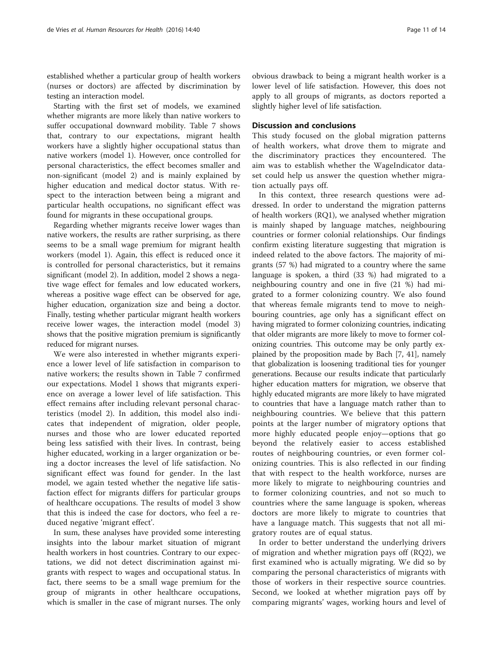established whether a particular group of health workers (nurses or doctors) are affected by discrimination by testing an interaction model.

Starting with the first set of models, we examined whether migrants are more likely than native workers to suffer occupational downward mobility. Table [7](#page-12-0) shows that, contrary to our expectations, migrant health workers have a slightly higher occupational status than native workers (model 1). However, once controlled for personal characteristics, the effect becomes smaller and non-significant (model 2) and is mainly explained by higher education and medical doctor status. With respect to the interaction between being a migrant and particular health occupations, no significant effect was found for migrants in these occupational groups.

Regarding whether migrants receive lower wages than native workers, the results are rather surprising, as there seems to be a small wage premium for migrant health workers (model 1). Again, this effect is reduced once it is controlled for personal characteristics, but it remains significant (model 2). In addition, model 2 shows a negative wage effect for females and low educated workers, whereas a positive wage effect can be observed for age, higher education, organization size and being a doctor. Finally, testing whether particular migrant health workers receive lower wages, the interaction model (model 3) shows that the positive migration premium is significantly reduced for migrant nurses.

We were also interested in whether migrants experience a lower level of life satisfaction in comparison to native workers; the results shown in Table [7](#page-12-0) confirmed our expectations. Model 1 shows that migrants experience on average a lower level of life satisfaction. This effect remains after including relevant personal characteristics (model 2). In addition, this model also indicates that independent of migration, older people, nurses and those who are lower educated reported being less satisfied with their lives. In contrast, being higher educated, working in a larger organization or being a doctor increases the level of life satisfaction. No significant effect was found for gender. In the last model, we again tested whether the negative life satisfaction effect for migrants differs for particular groups of healthcare occupations. The results of model 3 show that this is indeed the case for doctors, who feel a reduced negative 'migrant effect'.

In sum, these analyses have provided some interesting insights into the labour market situation of migrant health workers in host countries. Contrary to our expectations, we did not detect discrimination against migrants with respect to wages and occupational status. In fact, there seems to be a small wage premium for the group of migrants in other healthcare occupations, which is smaller in the case of migrant nurses. The only

obvious drawback to being a migrant health worker is a lower level of life satisfaction. However, this does not apply to all groups of migrants, as doctors reported a slightly higher level of life satisfaction.

# Discussion and conclusions

This study focused on the global migration patterns of health workers, what drove them to migrate and the discriminatory practices they encountered. The aim was to establish whether the WageIndicator dataset could help us answer the question whether migration actually pays off.

In this context, three research questions were addressed. In order to understand the migration patterns of health workers (RQ1), we analysed whether migration is mainly shaped by language matches, neighbouring countries or former colonial relationships. Our findings confirm existing literature suggesting that migration is indeed related to the above factors. The majority of migrants (57 %) had migrated to a country where the same language is spoken, a third (33 %) had migrated to a neighbouring country and one in five (21 %) had migrated to a former colonizing country. We also found that whereas female migrants tend to move to neighbouring countries, age only has a significant effect on having migrated to former colonizing countries, indicating that older migrants are more likely to move to former colonizing countries. This outcome may be only partly explained by the proposition made by Bach [[7, 41\]](#page-14-0), namely that globalization is loosening traditional ties for younger generations. Because our results indicate that particularly higher education matters for migration, we observe that highly educated migrants are more likely to have migrated to countries that have a language match rather than to neighbouring countries. We believe that this pattern points at the larger number of migratory options that more highly educated people enjoy—options that go beyond the relatively easier to access established routes of neighbouring countries, or even former colonizing countries. This is also reflected in our finding that with respect to the health workforce, nurses are more likely to migrate to neighbouring countries and to former colonizing countries, and not so much to countries where the same language is spoken, whereas doctors are more likely to migrate to countries that have a language match. This suggests that not all migratory routes are of equal status.

In order to better understand the underlying drivers of migration and whether migration pays off (RQ2), we first examined who is actually migrating. We did so by comparing the personal characteristics of migrants with those of workers in their respective source countries. Second, we looked at whether migration pays off by comparing migrants' wages, working hours and level of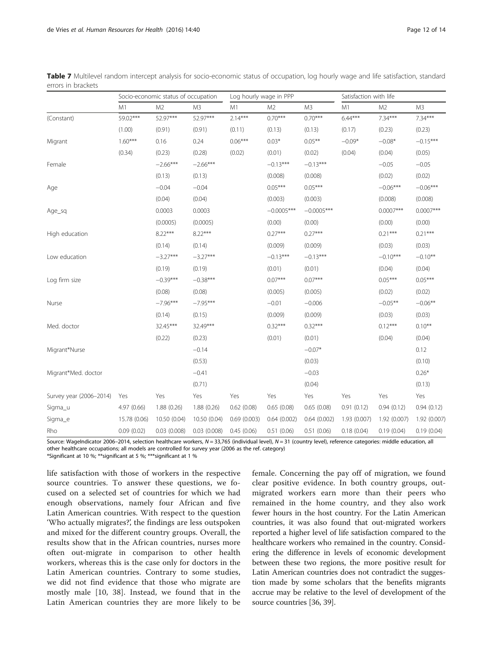|                         | Socio-economic status of occupation |                |              | Log hourly wage in PPP |                |              | Satisfaction with life |                |              |
|-------------------------|-------------------------------------|----------------|--------------|------------------------|----------------|--------------|------------------------|----------------|--------------|
|                         | M1                                  | M <sub>2</sub> | M3           | M1                     | M <sub>2</sub> | M3           | M1                     | M <sub>2</sub> | M3           |
| (Constant)              | 59.02***                            | 52.97***       | 52.97***     | $2.14***$              | $0.70***$      | $0.70***$    | $6.44***$              | $7.34***$      | $7.34***$    |
|                         | (1.00)                              | (0.91)         | (0.91)       | (0.11)                 | (0.13)         | (0.13)       | (0.17)                 | (0.23)         | (0.23)       |
| Migrant                 | $1.60***$                           | 0.16           | 0.24         | $0.06***$              | $0.03*$        | $0.05***$    | $-0.09*$               | $-0.08*$       | $-0.15***$   |
|                         | (0.34)                              | (0.23)         | (0.28)       | (0.02)                 | (0.01)         | (0.02)       | (0.04)                 | (0.04)         | (0.05)       |
| Female                  |                                     | $-2.66***$     | $-2.66***$   |                        | $-0.13***$     | $-0.13***$   |                        | $-0.05$        | $-0.05$      |
|                         |                                     | (0.13)         | (0.13)       |                        | (0.008)        | (0.008)      |                        | (0.02)         | (0.02)       |
| Age                     |                                     | $-0.04$        | $-0.04$      |                        | $0.05***$      | $0.05***$    |                        | $-0.06***$     | $-0.06***$   |
|                         |                                     | (0.04)         | (0.04)       |                        | (0.003)        | (0.003)      |                        | (0.008)        | (0.008)      |
| Age_sq                  |                                     | 0.0003         | 0.0003       |                        | $-0.0005***$   | $-0.0005***$ |                        | $0.0007***$    | $0.0007***$  |
|                         |                                     | (0.0005)       | (0.0005)     |                        | (0.00)         | (0.00)       |                        | (0.00)         | (0.00)       |
| High education          |                                     | $8.22***$      | $8.22***$    |                        | $0.27***$      | $0.27***$    |                        | $0.21***$      | $0.21***$    |
|                         |                                     | (0.14)         | (0.14)       |                        | (0.009)        | (0.009)      |                        | (0.03)         | (0.03)       |
| Low education           |                                     | $-3.27***$     | $-3.27***$   |                        | $-0.13***$     | $-0.13***$   |                        | $-0.10***$     | $-0.10**$    |
|                         |                                     | (0.19)         | (0.19)       |                        | (0.01)         | (0.01)       |                        | (0.04)         | (0.04)       |
| Log firm size           |                                     | $-0.39***$     | $-0.38***$   |                        | $0.07***$      | $0.07***$    |                        | $0.05***$      | $0.05***$    |
|                         |                                     | (0.08)         | (0.08)       |                        | (0.005)        | (0.005)      |                        | (0.02)         | (0.02)       |
| Nurse                   |                                     | $-7.96***$     | $-7.95***$   |                        | $-0.01$        | $-0.006$     |                        | $-0.05***$     | $-0.06**$    |
|                         |                                     | (0.14)         | (0.15)       |                        | (0.009)        | (0.009)      |                        | (0.03)         | (0.03)       |
| Med. doctor             |                                     | 32.45***       | 32.49***     |                        | $0.32***$      | $0.32***$    |                        | $0.12***$      | $0.10***$    |
|                         |                                     | (0.22)         | (0.23)       |                        | (0.01)         | (0.01)       |                        | (0.04)         | (0.04)       |
| Migrant*Nurse           |                                     |                | $-0.14$      |                        |                | $-0.07*$     |                        |                | 0.12         |
|                         |                                     |                | (0.53)       |                        |                | (0.03)       |                        |                | (0.10)       |
| Migrant*Med. doctor     |                                     |                | $-0.41$      |                        |                | $-0.03$      |                        |                | $0.26*$      |
|                         |                                     |                | (0.71)       |                        |                | (0.04)       |                        |                | (0.13)       |
| Survey year (2006-2014) | Yes                                 | Yes            | Yes          | Yes                    | Yes            | Yes          | Yes                    | Yes            | Yes          |
| Sigma_u                 | 4.97 (0.66)                         | 1.88(0.26)     | 1.88(0.26)   | 0.62(0.08)             | 0.65(0.08)     | 0.65(0.08)   | 0.91(0.12)             | 0.94(0.12)     | 0.94(0.12)   |
| Sigma_e                 | 15.78 (0.06)                        | 10.50 (0.04)   | 10.50 (0.04) | 0.69(0.003)            | 0.64(0.002)    | 0.64(0.002)  | 1.93 (0.007)           | 1.92(0.007)    | 1.92 (0.007) |
| Rho                     | 0.09(0.02)                          | 0.03(0.008)    | 0.03(0.008)  | 0.45(0.06)             | 0.51(0.06)     | 0.51(0.06)   | 0.18(0.04)             | 0.19(0.04)     | 0.19(0.04)   |

<span id="page-12-0"></span>Table 7 Multilevel random intercept analysis for socio-economic status of occupation, log hourly wage and life satisfaction, standard errors in brackets

Source: WageIndicator 2006-2014, selection healthcare workers, N = 33,765 (individual level), N = 31 (country level), reference categories: middle education, all other healthcare occupations; all models are controlled for survey year (2006 as the ref. category)

\*Significant at 10 %; \*\*significant at 5 %; \*\*\*significant at 1 %

life satisfaction with those of workers in the respective source countries. To answer these questions, we focused on a selected set of countries for which we had enough observations, namely four African and five Latin American countries. With respect to the question 'Who actually migrates?', the findings are less outspoken and mixed for the different country groups. Overall, the results show that in the African countries, nurses more often out-migrate in comparison to other health workers, whereas this is the case only for doctors in the Latin American countries. Contrary to some studies, we did not find evidence that those who migrate are mostly male [[10, 38](#page-14-0)]. Instead, we found that in the Latin American countries they are more likely to be

female. Concerning the pay off of migration, we found clear positive evidence. In both country groups, outmigrated workers earn more than their peers who remained in the home country, and they also work fewer hours in the host country. For the Latin American countries, it was also found that out-migrated workers reported a higher level of life satisfaction compared to the healthcare workers who remained in the country. Considering the difference in levels of economic development between these two regions, the more positive result for Latin American countries does not contradict the suggestion made by some scholars that the benefits migrants accrue may be relative to the level of development of the source countries [\[36](#page-14-0), [39](#page-14-0)].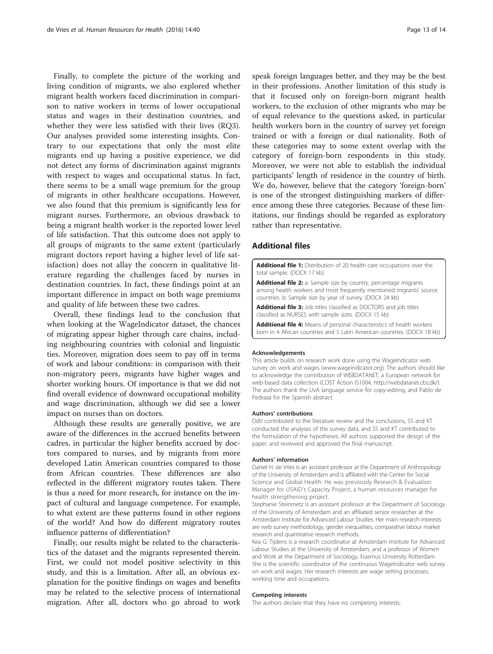<span id="page-13-0"></span>Finally, to complete the picture of the working and living condition of migrants, we also explored whether migrant health workers faced discrimination in comparison to native workers in terms of lower occupational status and wages in their destination countries, and whether they were less satisfied with their lives (RQ3). Our analyses provided some interesting insights. Contrary to our expectations that only the most elite migrants end up having a positive experience, we did not detect any forms of discrimination against migrants with respect to wages and occupational status. In fact, there seems to be a small wage premium for the group of migrants in other healthcare occupations. However, we also found that this premium is significantly less for migrant nurses. Furthermore, an obvious drawback to being a migrant health worker is the reported lower level of life satisfaction. That this outcome does not apply to all groups of migrants to the same extent (particularly migrant doctors report having a higher level of life satisfaction) does not allay the concern in qualitative literature regarding the challenges faced by nurses in destination countries. In fact, these findings point at an important difference in impact on both wage premiums and quality of life between these two cadres.

Overall, these findings lead to the conclusion that when looking at the WageIndicator dataset, the chances of migrating appear higher through care chains, including neighbouring countries with colonial and linguistic ties. Moreover, migration does seem to pay off in terms of work and labour conditions: in comparison with their non-migratory peers, migrants have higher wages and shorter working hours. Of importance is that we did not find overall evidence of downward occupational mobility and wage discrimination, although we did see a lower impact on nurses than on doctors.

Although these results are generally positive, we are aware of the differences in the accrued benefits between cadres, in particular the higher benefits accrued by doctors compared to nurses, and by migrants from more developed Latin American countries compared to those from African countries. These differences are also reflected in the different migratory routes taken. There is thus a need for more research, for instance on the impact of cultural and language competence. For example, to what extent are these patterns found in other regions of the world? And how do different migratory routes influence patterns of differentiation?

Finally, our results might be related to the characteristics of the dataset and the migrants represented therein. First, we could not model positive selectivity in this study, and this is a limitation. After all, an obvious explanation for the positive findings on wages and benefits may be related to the selective process of international migration. After all, doctors who go abroad to work

speak foreign languages better, and they may be the best in their professions. Another limitation of this study is that it focused only on foreign-born migrant health workers, to the exclusion of other migrants who may be of equal relevance to the questions asked, in particular health workers born in the country of survey yet foreign trained or with a foreign or dual nationality. Both of these categories may to some extent overlap with the category of foreign-born respondents in this study. Moreover, we were not able to establish the individual participants' length of residence in the country of birth. We do, however, believe that the category 'foreign-born' is one of the strongest distinguishing markers of difference among these three categories. Because of these limitations, our findings should be regarded as exploratory rather than representative.

## Additional files

[Additional file 1:](dx.doi.org/10.1186/s12960-016-0136-5) Distribution of 20 health care occupations over the total sample. (DOCX 17 kb)

[Additional file 2:](dx.doi.org/10.1186/s12960-016-0136-5) a: Sample size by country, percentage migrants among health workers and most frequently mentioned migrants' source countries. b: Sample size by year of survey. (DOCX 24 kb)

[Additional file 3:](dx.doi.org/10.1186/s12960-016-0136-5) Job titles classified as DOCTORS and job titles classified as NURSES with sample sizes. (DOCX 15 kb)

[Additional file 4:](dx.doi.org/10.1186/s12960-016-0136-5) Means of personal characteristics of health workers born in 4 African countries and 5 Latin American countries. (DOCX 18 kb)

#### Acknowledgements

This article builds on research work done using the WageIndicator web survey on work and wages [\(www.wageindicator.org\)](http://www.wageindicator.org). The authors should like to acknowledge the contribution of WEBDATANET, a European network for web-based data collection (COST Action IS1004, [http://webdatanet.cbs.dk/\)](http://webdatanet.cbs.dk/). The authors thank the UvA language service for copy-editing, and Pablo de Pedraza for the Spanish abstract.

#### Authors' contributions

DdV contributed to the literature review and the conclusions, SS and KT conducted the analyses of the survey data, and SS and KT contributed to the formulation of the hypotheses. All authors supported the design of the paper, and reviewed and approved the final manuscript.

#### Authors' information

Daniel H. de Vries is an assistant professor at the Department of Anthropology of the University of Amsterdam and is affiliated with the Center for Social Science and Global Health. He was previously Research & Evaluation Manager for USAID's Capacity Project, a human resources manager for health strengthening project.

Stephanie Steinmetz is an assistant professor at the Department of Sociology of the University of Amsterdam and an affiliated senior researcher at the Amsterdam Institute for Advanced Labour Studies. Her main research interests are web survey methodology, gender inequalities, comparative labour market research and quantitative research methods.

Kea G. Tijdens is a research coordinator at Amsterdam Institute for Advanced Labour Studies at the University of Amsterdam, and a professor of Women and Work at the Department of Sociology, Erasmus University Rotterdam. She is the scientific coordinator of the continuous WageIndicator web survey on work and wages. Her research interests are wage setting processes, working time and occupations.

#### Competing interests

The authors declare that they have no competing interests.